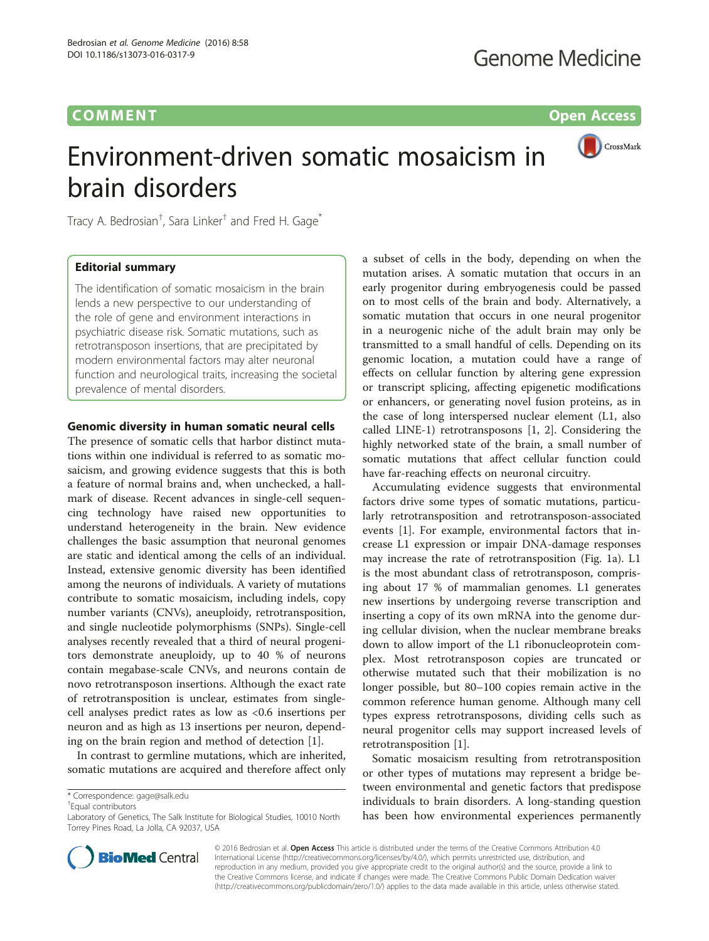# **COMMENT** COMMENT COMMENT COMMENT  $\sim$



# Environment-driven somatic mosaicism in brain disorders

Tracy A. Bedrosian $^\dagger$ , Sara Linker $^\dagger$  and Fred H. Gage $^*$ 

# Editorial summary

The identification of somatic mosaicism in the brain lends a new perspective to our understanding of the role of gene and environment interactions in psychiatric disease risk. Somatic mutations, such as retrotransposon insertions, that are precipitated by modern environmental factors may alter neuronal function and neurological traits, increasing the societal prevalence of mental disorders.

## Genomic diversity in human somatic neural cells

The presence of somatic cells that harbor distinct mutations within one individual is referred to as somatic mosaicism, and growing evidence suggests that this is both a feature of normal brains and, when unchecked, a hallmark of disease. Recent advances in single-cell sequencing technology have raised new opportunities to understand heterogeneity in the brain. New evidence challenges the basic assumption that neuronal genomes are static and identical among the cells of an individual. Instead, extensive genomic diversity has been identified among the neurons of individuals. A variety of mutations contribute to somatic mosaicism, including indels, copy number variants (CNVs), aneuploidy, retrotransposition, and single nucleotide polymorphisms (SNPs). Single-cell analyses recently revealed that a third of neural progenitors demonstrate aneuploidy, up to 40 % of neurons contain megabase-scale CNVs, and neurons contain de novo retrotransposon insertions. Although the exact rate of retrotransposition is unclear, estimates from singlecell analyses predict rates as low as <0.6 insertions per neuron and as high as 13 insertions per neuron, depending on the brain region and method of detection [[1\]](#page-3-0).

In contrast to germline mutations, which are inherited, somatic mutations are acquired and therefore affect only

\* Correspondence: [gage@salk.edu](mailto:gage@salk.edu) †

Equal contributors



a subset of cells in the body, depending on when the

Accumulating evidence suggests that environmental factors drive some types of somatic mutations, particularly retrotransposition and retrotransposon-associated events [\[1](#page-3-0)]. For example, environmental factors that increase L1 expression or impair DNA-damage responses may increase the rate of retrotransposition (Fig. [1a\)](#page-1-0). L1 is the most abundant class of retrotransposon, comprising about 17 % of mammalian genomes. L1 generates new insertions by undergoing reverse transcription and inserting a copy of its own mRNA into the genome during cellular division, when the nuclear membrane breaks down to allow import of the L1 ribonucleoprotein complex. Most retrotransposon copies are truncated or otherwise mutated such that their mobilization is no longer possible, but 80–100 copies remain active in the common reference human genome. Although many cell types express retrotransposons, dividing cells such as neural progenitor cells may support increased levels of retrotransposition [\[1](#page-3-0)].

Somatic mosaicism resulting from retrotransposition or other types of mutations may represent a bridge between environmental and genetic factors that predispose individuals to brain disorders. A long-standing question has been how environmental experiences permanently



© 2016 Bedrosian et al. Open Access This article is distributed under the terms of the Creative Commons Attribution 4.0 International License [\(http://creativecommons.org/licenses/by/4.0/](http://creativecommons.org/licenses/by/4.0/)), which permits unrestricted use, distribution, and reproduction in any medium, provided you give appropriate credit to the original author(s) and the source, provide a link to the Creative Commons license, and indicate if changes were made. The Creative Commons Public Domain Dedication waiver [\(http://creativecommons.org/publicdomain/zero/1.0/](http://creativecommons.org/publicdomain/zero/1.0/)) applies to the data made available in this article, unless otherwise stated.

Laboratory of Genetics, The Salk Institute for Biological Studies, 10010 North Torrey Pines Road, La Jolla, CA 92037, USA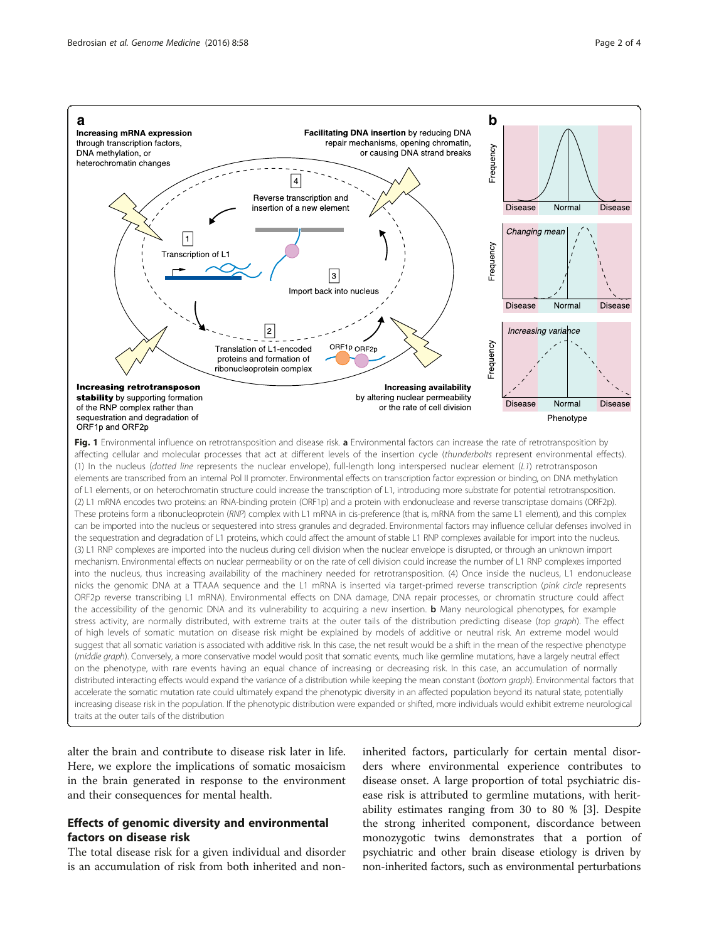<span id="page-1-0"></span>

traits at the outer tails of the distribution

alter the brain and contribute to disease risk later in life. Here, we explore the implications of somatic mosaicism in the brain generated in response to the environment and their consequences for mental health.

# Effects of genomic diversity and environmental factors on disease risk

The total disease risk for a given individual and disorder is an accumulation of risk from both inherited and noninherited factors, particularly for certain mental disorders where environmental experience contributes to disease onset. A large proportion of total psychiatric disease risk is attributed to germline mutations, with heritability estimates ranging from 30 to 80 % [\[3\]](#page-3-0). Despite the strong inherited component, discordance between monozygotic twins demonstrates that a portion of psychiatric and other brain disease etiology is driven by non-inherited factors, such as environmental perturbations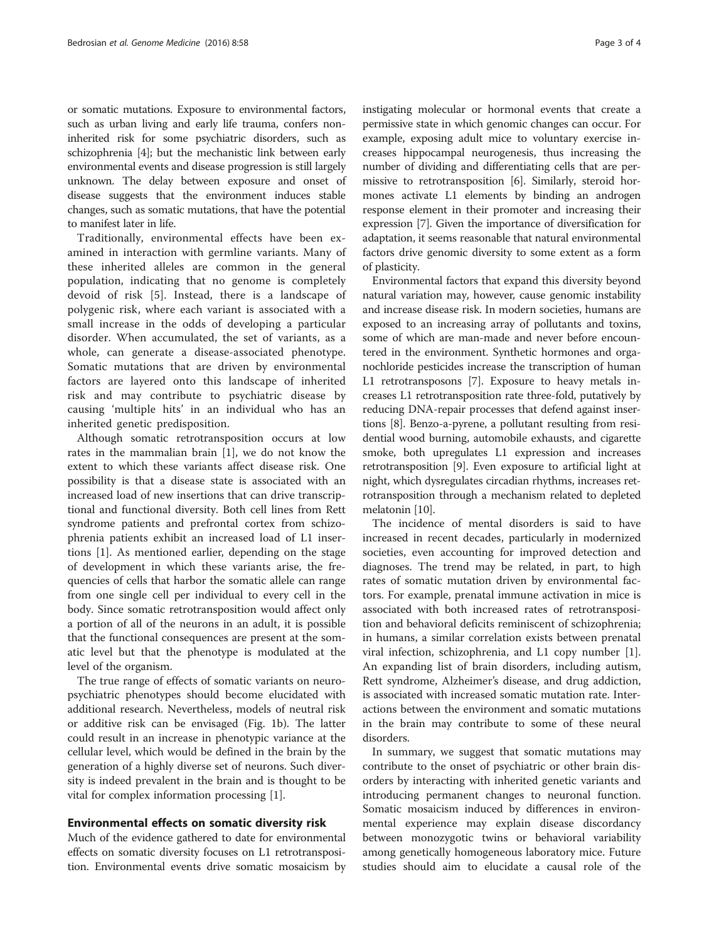or somatic mutations. Exposure to environmental factors, such as urban living and early life trauma, confers noninherited risk for some psychiatric disorders, such as schizophrenia [\[4\]](#page-3-0); but the mechanistic link between early environmental events and disease progression is still largely unknown. The delay between exposure and onset of disease suggests that the environment induces stable changes, such as somatic mutations, that have the potential to manifest later in life.

Traditionally, environmental effects have been examined in interaction with germline variants. Many of these inherited alleles are common in the general population, indicating that no genome is completely devoid of risk [\[5\]](#page-3-0). Instead, there is a landscape of polygenic risk, where each variant is associated with a small increase in the odds of developing a particular disorder. When accumulated, the set of variants, as a whole, can generate a disease-associated phenotype. Somatic mutations that are driven by environmental factors are layered onto this landscape of inherited risk and may contribute to psychiatric disease by causing 'multiple hits' in an individual who has an inherited genetic predisposition.

Although somatic retrotransposition occurs at low rates in the mammalian brain [[1\]](#page-3-0), we do not know the extent to which these variants affect disease risk. One possibility is that a disease state is associated with an increased load of new insertions that can drive transcriptional and functional diversity. Both cell lines from Rett syndrome patients and prefrontal cortex from schizophrenia patients exhibit an increased load of L1 insertions [[1\]](#page-3-0). As mentioned earlier, depending on the stage of development in which these variants arise, the frequencies of cells that harbor the somatic allele can range from one single cell per individual to every cell in the body. Since somatic retrotransposition would affect only a portion of all of the neurons in an adult, it is possible that the functional consequences are present at the somatic level but that the phenotype is modulated at the level of the organism.

The true range of effects of somatic variants on neuropsychiatric phenotypes should become elucidated with additional research. Nevertheless, models of neutral risk or additive risk can be envisaged (Fig. [1b\)](#page-1-0). The latter could result in an increase in phenotypic variance at the cellular level, which would be defined in the brain by the generation of a highly diverse set of neurons. Such diversity is indeed prevalent in the brain and is thought to be vital for complex information processing [[1](#page-3-0)].

### Environmental effects on somatic diversity risk

Much of the evidence gathered to date for environmental effects on somatic diversity focuses on L1 retrotransposition. Environmental events drive somatic mosaicism by

instigating molecular or hormonal events that create a permissive state in which genomic changes can occur. For example, exposing adult mice to voluntary exercise increases hippocampal neurogenesis, thus increasing the number of dividing and differentiating cells that are permissive to retrotransposition [[6\]](#page-3-0). Similarly, steroid hormones activate L1 elements by binding an androgen response element in their promoter and increasing their expression [\[7](#page-3-0)]. Given the importance of diversification for adaptation, it seems reasonable that natural environmental factors drive genomic diversity to some extent as a form of plasticity.

Environmental factors that expand this diversity beyond natural variation may, however, cause genomic instability and increase disease risk. In modern societies, humans are exposed to an increasing array of pollutants and toxins, some of which are man-made and never before encountered in the environment. Synthetic hormones and organochloride pesticides increase the transcription of human L1 retrotransposons [\[7](#page-3-0)]. Exposure to heavy metals increases L1 retrotransposition rate three-fold, putatively by reducing DNA-repair processes that defend against insertions [[8\]](#page-3-0). Benzo-a-pyrene, a pollutant resulting from residential wood burning, automobile exhausts, and cigarette smoke, both upregulates L1 expression and increases retrotransposition [[9](#page-3-0)]. Even exposure to artificial light at night, which dysregulates circadian rhythms, increases retrotransposition through a mechanism related to depleted melatonin [[10\]](#page-3-0).

The incidence of mental disorders is said to have increased in recent decades, particularly in modernized societies, even accounting for improved detection and diagnoses. The trend may be related, in part, to high rates of somatic mutation driven by environmental factors. For example, prenatal immune activation in mice is associated with both increased rates of retrotransposition and behavioral deficits reminiscent of schizophrenia; in humans, a similar correlation exists between prenatal viral infection, schizophrenia, and L1 copy number [\[1](#page-3-0)]. An expanding list of brain disorders, including autism, Rett syndrome, Alzheimer's disease, and drug addiction, is associated with increased somatic mutation rate. Interactions between the environment and somatic mutations in the brain may contribute to some of these neural disorders.

In summary, we suggest that somatic mutations may contribute to the onset of psychiatric or other brain disorders by interacting with inherited genetic variants and introducing permanent changes to neuronal function. Somatic mosaicism induced by differences in environmental experience may explain disease discordancy between monozygotic twins or behavioral variability among genetically homogeneous laboratory mice. Future studies should aim to elucidate a causal role of the